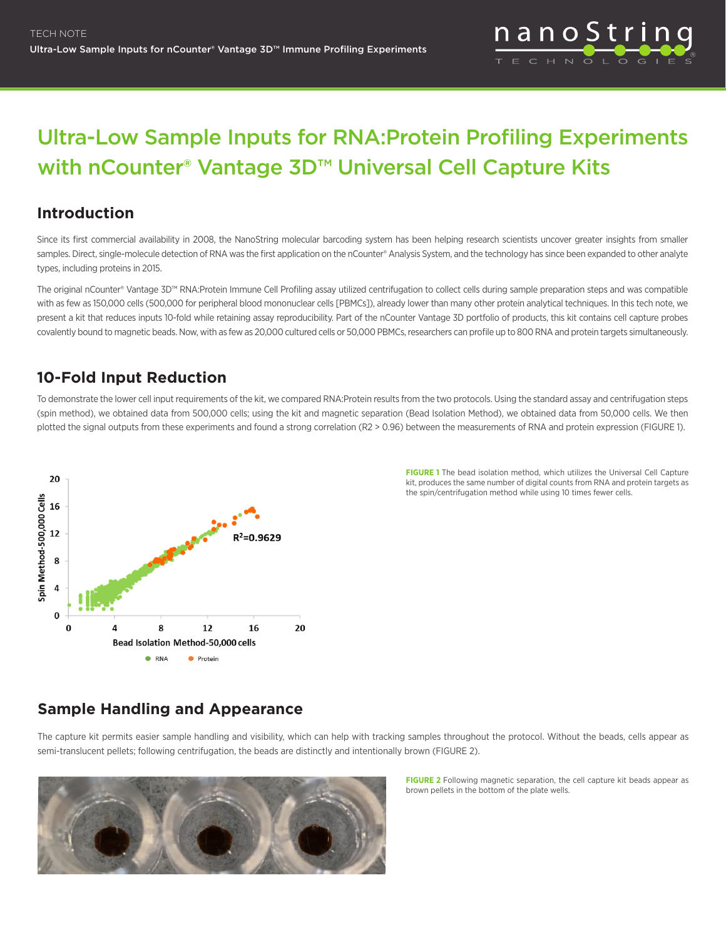

# Ultra-Low Sample Inputs for RNA:Protein Profiling Experiments with nCounter<sup>®</sup> Vantage 3D<sup>™</sup> Universal Cell Capture Kits

### **Introduction**

Since its first commercial availability in 2008, the NanoString molecular barcoding system has been helping research scientists uncover greater insights from smaller samples. Direct, single-molecule detection of RNA was the first application on the nCounter® Analysis System, and the technology has since been expanded to other analyte types, including proteins in 2015.

The original nCounter® Vantage 3D™ RNA:Protein Immune Cell Profiling assay utilized centrifugation to collect cells during sample preparation steps and was compatible with as few as 150,000 cells (500,000 for peripheral blood mononuclear cells [PBMCs]), already lower than many other protein analytical techniques. In this tech note, we present a kit that reduces inputs 10-fold while retaining assay reproducibility. Part of the nCounter Vantage 3D portfolio of products, this kit contains cell capture probes covalently bound to magnetic beads. Now, with as few as 20,000 cultured cells or 50,000 PBMCs, researchers can profile up to 800 RNA and protein targets simultaneously.

## **10-Fold Input Reduction**

To demonstrate the lower cell input requirements of the kit, we compared RNA:Protein results from the two protocols. Using the standard assay and centrifugation steps (spin method), we obtained data from 500,000 cells; using the kit and magnetic separation (Bead Isolation Method), we obtained data from 50,000 cells. We then plotted the signal outputs from these experiments and found a strong correlation (R2 > 0.96) between the measurements of RNA and protein expression (FIGURE 1).



**FIGURE 1** The bead isolation method, which utilizes the Universal Cell Capture kit, produces the same number of digital counts from RNA and protein targets as the spin/centrifugation method while using 10 times fewer cells.

# **Sample Handling and Appearance**

The capture kit permits easier sample handling and visibility, which can help with tracking samples throughout the protocol. Without the beads, cells appear as semi-translucent pellets; following centrifugation, the beads are distinctly and intentionally brown (FIGURE 2).



**FIGURE 2** Following magnetic separation, the cell capture kit beads appear as brown pellets in the bottom of the plate wells.